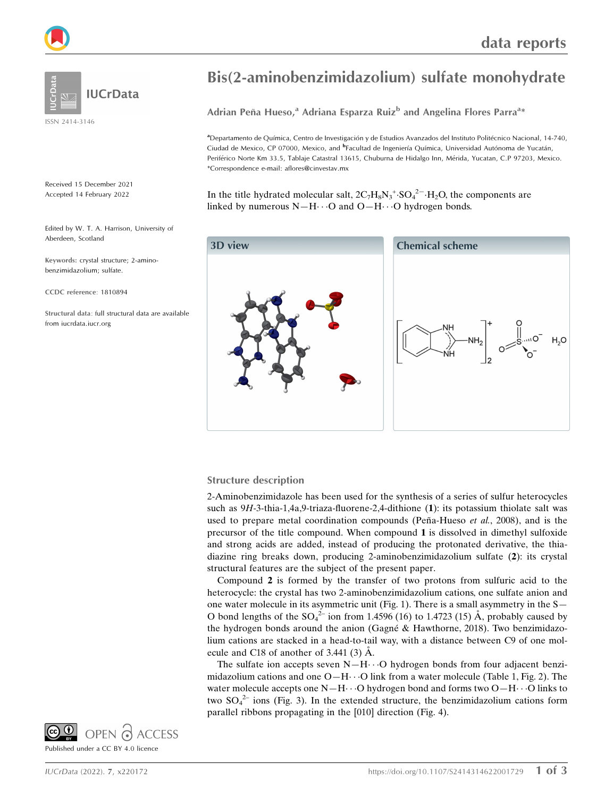

ISSN 2414-3146

Received 15 December 2021 Accepted 14 February 2022

Edited by W. T. A. Harrison, University of Aberdeen, Scotland

Keywords: crystal structure; 2-aminobenzimidazolium; sulfate.

CCDC reference: 1810894

Structural data: full structural data are available from iucrdata.iucr.org

## Bis(2-aminobenzimidazolium) sulfate monohydrate

Adrian Peña Hueso,<sup>a</sup> Adriana Esparza Ruiz<sup>b</sup> and Angelina Flores Parra<sup>a</sup>\*

a<br>Departamento de Química, Centro de Investigación y de Estudios Avanzados del Instituto Politécnico Nacional, 14-740, Ciudad de Mexico, CP 07000, Mexico, and <sup>b</sup>Facultad de Ingeniería Química, Universidad Autónoma de Yucatán, Periférico Norte Km 33.5, Tablaje Catastral 13615, Chuburna de Hidalgo Inn, Mérida, Yucatan, C.P 97203, Mexico. \*Correspondence e-mail: aflores@cinvestav.mx

In the title hydrated molecular salt,  $2C_7H_8N_3^+$ : $SO_4^2$ <sup>-</sup> $\cdot H_2O$ , the components are linked by numerous  $N-H\cdots O$  and  $O-H\cdots O$  hydrogen bonds.



#### Structure description

2-Aminobenzimidazole has been used for the synthesis of a series of sulfur heterocycles such as 9H-3-thia-1,4a,9-triaza-fluorene-2,4-dithione (1): its potassium thiolate salt was used to prepare metal coordination compounds (Peña-Hueso *et al.*, 2008), and is the precursor of the title compound. When compound 1 is dissolved in dimethyl sulfoxide and strong acids are added, instead of producing the protonated derivative, the thiadiazine ring breaks down, producing 2-aminobenzimidazolium sulfate (2): its crystal structural features are the subject of the present paper.

Compound 2 is formed by the transfer of two protons from sulfuric acid to the heterocycle: the crystal has two 2-aminobenzimidazolium cations, one sulfate anion and one water molecule in its asymmetric unit (Fig. 1). There is a small asymmetry in the S— O bond lengths of the  $SO_4^2$  ion from 1.4596 (16) to 1.4723 (15) Å, probably caused by the hydrogen bonds around the anion (Gagné  $\&$  Hawthorne, 2018). Two benzimidazolium cations are stacked in a head-to-tail way, with a distance between C9 of one molecule and C18 of another of  $3.441(3)$  Å.

The sulfate ion accepts seven  $N-H\cdots O$  hydrogen bonds from four adjacent benzimidazolium cations and one  $O-H\cdots O$  link from a water molecule (Table 1, Fig. 2). The water molecule accepts one  $N-H\cdots O$  hydrogen bond and forms two  $O-H\cdots O$  links to two  $SO_4^2$  ions (Fig. 3). In the extended structure, the benzimidazolium cations form parallel ribbons propagating in the [010] direction (Fig. 4).

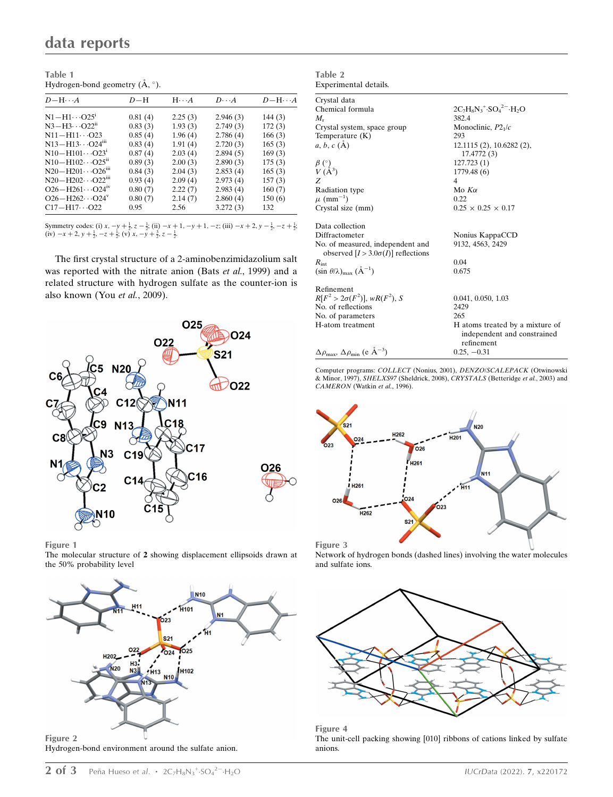| Table 1 |                                           |
|---------|-------------------------------------------|
|         | Hydrogen-bond geometry $(\AA, \degree)$ . |

| $D-H\cdots A$                          | $D-H$   | $H \cdot \cdot \cdot A$ | $D\cdot\cdot\cdot A$ | $D - H \cdots A$ |
|----------------------------------------|---------|-------------------------|----------------------|------------------|
| $N1 - H1 \cdots O25^1$                 | 0.81(4) | 2.25(3)                 | 2.946(3)             | 144(3)           |
| $N3 - H3 \cdots O22^{n}$               | 0.83(3) | 1.93(3)                 | 2.749(3)             | 172(3)           |
| $N11 - H11 \cdots Q23$                 | 0.85(4) | 1.96(4)                 | 2.786(4)             | 166(3)           |
| $N13 - H13 \cdots Q24III$              | 0.83(4) | 1.91(4)                 | 2.720(3)             | 165(3)           |
| $N10 - H101 \cdots O23$                | 0.87(4) | 2.03(4)                 | 2.894(5)             | 169(3)           |
| $N10 - H102 \cdots O25$ <sup>ii</sup>  | 0.89(3) | 2.00(3)                 | 2.890(3)             | 175(3)           |
| $N20 - H201 \cdots O26$ <sup>iii</sup> | 0.84(3) | 2.04(3)                 | 2.853(4)             | 165(3)           |
| $N20 - H202 \cdots Q22m$               | 0.93(4) | 2.09(4)                 | 2.973(4)             | 157(3)           |
| $O26 - H261 \cdots O24$ <sup>iv</sup>  | 0.80(7) | 2.22(7)                 | 2.983(4)             | 160(7)           |
| $O26 - H262 \cdots O24$ <sup>v</sup>   | 0.80(7) | 2.14(7)                 | 2.860(4)             | 150(6)           |
| $C17 - H17 \cdots O22$                 | 0.95    | 2.56                    | 3.272(3)             | 132              |

Symmetry codes: (i)  $x, -y + \frac{1}{2}, z - \frac{1}{2}$ ; (ii)  $-x + 1, -y + 1, -z$ ; (iii)  $-x + 2, y - \frac{1}{2}, -z + \frac{1}{2}$ ; (iv)  $-x + 2, y + \frac{1}{2}, -z + \frac{1}{2}$ ; (v)  $x, -y + \frac{3}{2}, z - \frac{1}{2}$ .

The first crystal structure of a 2-aminobenzimidazolium salt was reported with the nitrate anion (Bats et al., 1999) and a related structure with hydrogen sulfate as the counter-ion is also known (You et al., 2009).





The molecular structure of 2 showing displacement ellipsoids drawn at the 50% probability level



Hydrogen-bond environment around the sulfate anion.

| Experimental details.                                                         |                                                                              |
|-------------------------------------------------------------------------------|------------------------------------------------------------------------------|
| Crystal data                                                                  |                                                                              |
| Chemical formula                                                              | $2C_7H_8N_3$ <sup>+</sup> $SO_4$ <sup>2-</sup> $H_2O$                        |
| $M_{r}$                                                                       | 382.4                                                                        |
| Crystal system, space group                                                   | Monoclinic, $P2_1/c$                                                         |
| Temperature $(K)$                                                             | 293                                                                          |
| $a, b, c (\AA)$                                                               | 12.1115 (2), 10.6282 (2),<br>17.4772 (3)                                     |
|                                                                               | 127.723 (1)                                                                  |
| $\frac{\beta}{V}$ (A <sup>3</sup> )                                           | 1779.48 (6)                                                                  |
| Z                                                                             | 4                                                                            |
| Radiation type                                                                | Mo $K\alpha$                                                                 |
| $\mu$ (mm <sup>-1</sup> )                                                     | 0.22                                                                         |
| Crystal size (mm)                                                             | $0.25 \times 0.25 \times 0.17$                                               |
| Data collection                                                               |                                                                              |
| Diffractometer                                                                | Nonius KappaCCD                                                              |
| No. of measured, independent and<br>observed $[I > 3.0\sigma(I)]$ reflections | 9132, 4563, 2429                                                             |
| $R_{\text{int}}$                                                              | 0.04                                                                         |
| $(\sin \theta/\lambda)_{\text{max}}$ $(\text{\AA}^{-1})$                      | 0.675                                                                        |
| Refinement                                                                    |                                                                              |
| $R[F^2 > 2\sigma(F^2)]$ , w $R(F^2)$ , S                                      | 0.041, 0.050, 1.03                                                           |
| No. of reflections                                                            | 2429                                                                         |
| No. of parameters                                                             | 265                                                                          |
| H-atom treatment                                                              | H atoms treated by a mixture of<br>independent and constrained<br>refinement |
| $\Delta\rho_{\text{max}}$ , $\Delta\rho_{\text{min}}$ (e Å <sup>-3</sup> )    | $0.25, -0.31$                                                                |

Table 2

Computer programs: COLLECT (Nonius, 2001), DENZO/SCALEPACK (Otwinowski & Minor, 1997), SHELXS97 (Sheldrick, 2008), CRYSTALS (Betteridge et al., 2003) and CAMERON (Watkin et al., 1996).



Network of hydrogen bonds (dashed lines) involving the water molecules and sulfate ions.



Figure 4 The unit-cell packing showing [010] ribbons of cations linked by sulfate anions.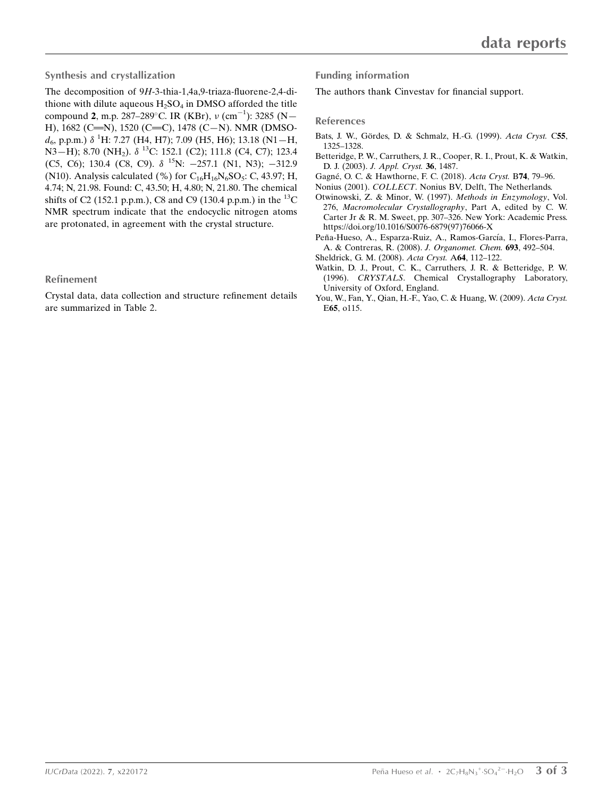### Synthesis and crystallization

The decomposition of 9H-3-thia-1,4a,9-triaza-fluorene-2,4-dithione with dilute aqueous  $H_2SO_4$  in DMSO afforded the title compound 2, m.p. 287–289 $^{\circ}$ C. IR (KBr),  $\nu$  (cm<sup>-1</sup>): 3285 (N-H), 1682 (C=N), 1520 (C=C), 1478 (C-N). NMR (DMSO $d_6$ , p.p.m.)  $\delta$ <sup>1</sup>H: 7.27 (H4, H7); 7.09 (H5, H6); 13.18 (N1 - H, N3–H); 8.70 (NH<sub>2</sub>). δ<sup>13</sup>C: 152.1 (C2); 111.8 (C4, C7); 123.4 (C5, C6); 130.4 (C8, C9).  $\delta$  <sup>15</sup>N: -257.1 (N1, N3); -312.9 (N10). Analysis calculated (%) for  $C_{16}H_{16}N_6SO_5$ : C, 43.97; H, 4.74; N, 21.98. Found: C, 43.50; H, 4.80; N, 21.80. The chemical shifts of C2 (152.1 p.p.m.), C8 and C9 (130.4 p.p.m.) in the  $^{13}$ C NMR spectrum indicate that the endocyclic nitrogen atoms are protonated, in agreement with the crystal structure.

### Refinement

Crystal data, data collection and structure refinement details are summarized in Table 2.

Funding information

The authors thank Cinvestav for financial support.

### References

- Bats, J. W., Gördes, D. & Schmalz, H.-G. (1999). Acta Cryst. C55, [1325–1328.](http://scripts.iucr.org/cgi-bin/cr.cgi?rm=pdfbb&cnor=hb4397&bbid=BB1)
- [Betteridge, P. W., Carruthers, J. R., Cooper, R. I., Prout, K. & Watkin,](http://scripts.iucr.org/cgi-bin/cr.cgi?rm=pdfbb&cnor=hb4397&bbid=BB2) D. J. (2003). [J. Appl. Cryst.](http://scripts.iucr.org/cgi-bin/cr.cgi?rm=pdfbb&cnor=hb4397&bbid=BB2) 36, 1487.
- Gagné, O. C. & Hawthorne, F. C. (2018). Acta Cryst. B74, 79-96.
- Nonius (2001). COLLECT[. Nonius BV, Delft, The Netherlands.](http://scripts.iucr.org/cgi-bin/cr.cgi?rm=pdfbb&cnor=hb4397&bbid=BB5)
- [Otwinowski, Z. & Minor, W. \(1997\).](http://scripts.iucr.org/cgi-bin/cr.cgi?rm=pdfbb&cnor=hb4397&bbid=BB6) Methods in Enzymology, Vol. 276, [Macromolecular Crystallography](http://scripts.iucr.org/cgi-bin/cr.cgi?rm=pdfbb&cnor=hb4397&bbid=BB6), Part A, edited by C. W. [Carter Jr & R. M. Sweet, pp. 307–326. New York: Academic Press.](http://scripts.iucr.org/cgi-bin/cr.cgi?rm=pdfbb&cnor=hb4397&bbid=BB6) [https://doi.org/10.1016/S0076-6879\(97\)76066-X](http://scripts.iucr.org/cgi-bin/cr.cgi?rm=pdfbb&cnor=hb4397&bbid=BB6)
- Peña-Hueso, A., Esparza-Ruiz, A., Ramos-García, I., Flores-Parra, [A. & Contreras, R. \(2008\).](http://scripts.iucr.org/cgi-bin/cr.cgi?rm=pdfbb&cnor=hb4397&bbid=BB7) J. Organomet. Chem. 693, 492–504. [Sheldrick, G. M. \(2008\).](http://scripts.iucr.org/cgi-bin/cr.cgi?rm=pdfbb&cnor=hb4397&bbid=BB8) Acta Cryst. A64, 112–122.
- [Watkin, D. J., Prout, C. K., Carruthers, J. R. & Betteridge, P. W.](http://scripts.iucr.org/cgi-bin/cr.cgi?rm=pdfbb&cnor=hb4397&bbid=BB10) (1996). CRYSTALS[. Chemical Crystallography Laboratory,](http://scripts.iucr.org/cgi-bin/cr.cgi?rm=pdfbb&cnor=hb4397&bbid=BB10) [University of Oxford, England.](http://scripts.iucr.org/cgi-bin/cr.cgi?rm=pdfbb&cnor=hb4397&bbid=BB10)
- [You, W., Fan, Y., Qian, H.-F., Yao, C. & Huang, W. \(2009\).](http://scripts.iucr.org/cgi-bin/cr.cgi?rm=pdfbb&cnor=hb4397&bbid=BB9) Acta Cryst. E65[, o115.](http://scripts.iucr.org/cgi-bin/cr.cgi?rm=pdfbb&cnor=hb4397&bbid=BB9)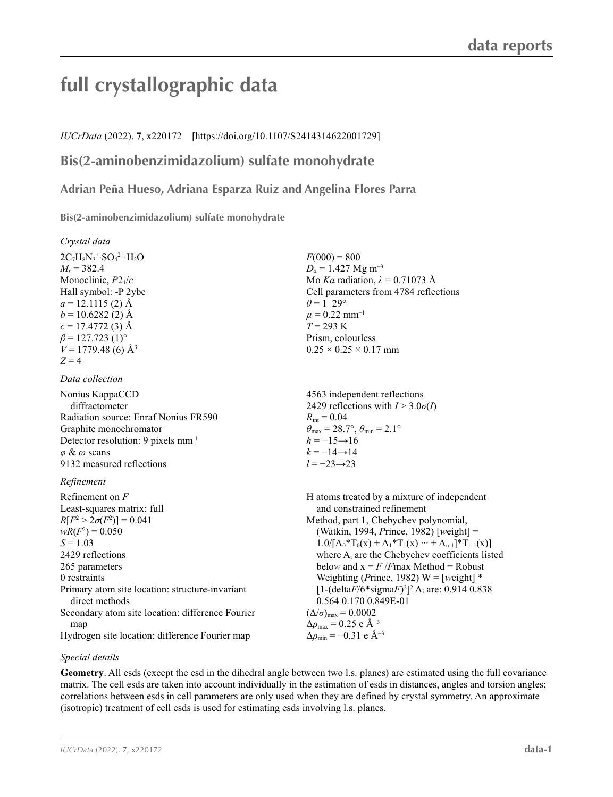# **full crystallographic data**

*IUCrData* (2022). **7**, x220172 [https://doi.org/10.1107/S2414314622001729]

### **Bis(2-aminobenzimidazolium) sulfate monohydrate**

**Adrian Peña Hueso, Adriana Esparza Ruiz and Angelina Flores Parra**

**Bis(2-aminobenzimidazolium) sulfate monohydrate** 

*Crystal data*

 $2C_7H_8N_3$ <sup>+</sup>·SO<sub>4</sub><sup>2–</sup>·H<sub>2</sub>O  $M_r = 382.4$ Monoclinic, *P*21/*c* Hall symbol: -P 2ybc  $a = 12.1115$  (2) Å  $b = 10.6282(2)$  Å  $c = 17.4772(3)$  Å  $\beta$  = 127.723 (1)<sup>o</sup>  $V = 1779.48$  (6) Å<sup>3</sup>  $Z = 4$ 

### *Data collection*

Nonius KappaCCD diffractometer Radiation source: Enraf Nonius FR590 Graphite monochromator Detector resolution: 9 pixels mm-1 *φ* & *ω* scans 9132 measured reflections

### *Refinement*

Refinement on *F* Least-squares matrix: full  $R[F^2 > 2\sigma(F^2)] = 0.041$  $wR(F^2) = 0.050$  $S = 1.03$ 2429 reflections 265 parameters 0 restraints Primary atom site location: structure-invariant direct methods Secondary atom site location: difference Fourier man Hydrogen site location: difference Fourier map

 $F(000) = 800$  $D_x = 1.427$  Mg m<sup>-3</sup> Mo *Kα* radiation,  $\lambda = 0.71073$  Å Cell parameters from 4784 reflections  $\theta$  = 1–29<sup>°</sup>  $\mu$  = 0.22 mm<sup>-1</sup>  $T = 293 \text{ K}$ Prism, colourless  $0.25 \times 0.25 \times 0.17$  mm

4563 independent reflections 2429 reflections with  $I > 3.0\sigma(I)$  $R_{\text{int}} = 0.04$  $\theta_{\text{max}} = 28.7^{\circ}, \theta_{\text{min}} = 2.1^{\circ}$  $h = -15 \rightarrow 16$  $k = -14 \rightarrow 14$ *l* = −23→23

H atoms treated by a mixture of independent and constrained refinement Method, part 1, Chebychev polynomial, (Watkin, 1994, *P*rince, 1982) [*w*eight] =  $1.0/[A_0^*T_0(x) + A_1^*T_1(x) \cdots + A_{n-1}^*T_{n-1}(x)]$ where  $A_i$  are the Chebychev coefficients listed below and  $x = F$  /*F*max Method = Robust Weighting (*Prince*, 1982) W =  $[weight]$  \*  $[1-(\text{delta}F/6*\text{sigma}F)^{2}]^{2}$  A<sub>i</sub> are: 0.914 0.838 0.564 0.170 0.849E-01  $(\Delta/\sigma)_{\text{max}} = 0.0002$  $\Delta \rho_{\text{max}} = 0.25$  e Å<sup>-3</sup>  $\Delta \rho_{\rm min} = -0.31$  e Å<sup>-3</sup>

### *Special details*

**Geometry**. All esds (except the esd in the dihedral angle between two l.s. planes) are estimated using the full covariance matrix. The cell esds are taken into account individually in the estimation of esds in distances, angles and torsion angles; correlations between esds in cell parameters are only used when they are defined by crystal symmetry. An approximate (isotropic) treatment of cell esds is used for estimating esds involving l.s. planes.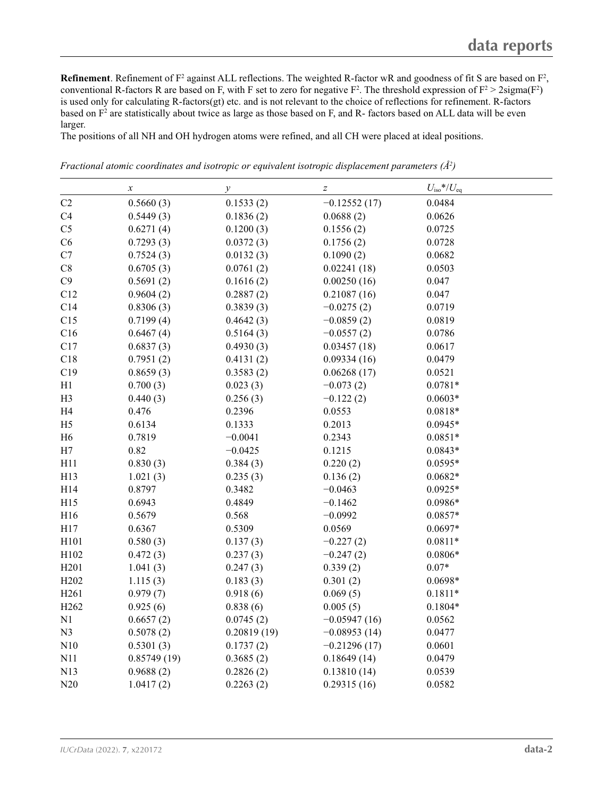**Refinement**. Refinement of  $F^2$  against ALL reflections. The weighted R-factor wR and goodness of fit S are based on  $F^2$ , conventional R-factors R are based on F, with F set to zero for negative  $F^2$ . The threshold expression of  $F^2 > 2 \text{sigma}(F^2)$ is used only for calculating R-factors(gt) etc. and is not relevant to the choice of reflections for refinement. R-factors based on  $F^2$  are statistically about twice as large as those based on F, and R- factors based on ALL data will be even larger.

The positions of all NH and OH hydrogen atoms were refined, and all CH were placed at ideal positions.

|                  | $\boldsymbol{\chi}$ | $\mathcal{Y}$ | $\boldsymbol{Z}$ | $U_{\rm iso}*/U_{\rm eq}$ |  |
|------------------|---------------------|---------------|------------------|---------------------------|--|
| C2               | 0.5660(3)           | 0.1533(2)     | $-0.12552(17)$   | 0.0484                    |  |
| C4               | 0.5449(3)           | 0.1836(2)     | 0.0688(2)        | 0.0626                    |  |
| C <sub>5</sub>   | 0.6271(4)           | 0.1200(3)     | 0.1556(2)        | 0.0725                    |  |
| C6               | 0.7293(3)           | 0.0372(3)     | 0.1756(2)        | 0.0728                    |  |
| C7               | 0.7524(3)           | 0.0132(3)     | 0.1090(2)        | 0.0682                    |  |
| $\rm{C}8$        | 0.6705(3)           | 0.0761(2)     | 0.02241(18)      | 0.0503                    |  |
| C9               | 0.5691(2)           | 0.1616(2)     | 0.00250(16)      | 0.047                     |  |
| C12              | 0.9604(2)           | 0.2887(2)     | 0.21087(16)      | 0.047                     |  |
| C14              | 0.8306(3)           | 0.3839(3)     | $-0.0275(2)$     | 0.0719                    |  |
| C15              | 0.7199(4)           | 0.4642(3)     | $-0.0859(2)$     | 0.0819                    |  |
| C16              | 0.6467(4)           | 0.5164(3)     | $-0.0557(2)$     | 0.0786                    |  |
| C17              | 0.6837(3)           | 0.4930(3)     | 0.03457(18)      | 0.0617                    |  |
| C18              | 0.7951(2)           | 0.4131(2)     | 0.09334(16)      | 0.0479                    |  |
| C19              | 0.8659(3)           | 0.3583(2)     | 0.06268(17)      | 0.0521                    |  |
| H1               | 0.700(3)            | 0.023(3)      | $-0.073(2)$      | $0.0781*$                 |  |
| H <sub>3</sub>   | 0.440(3)            | 0.256(3)      | $-0.122(2)$      | $0.0603*$                 |  |
| H <sub>4</sub>   | 0.476               | 0.2396        | 0.0553           | $0.0818*$                 |  |
| H <sub>5</sub>   | 0.6134              | 0.1333        | 0.2013           | $0.0945*$                 |  |
| H <sub>6</sub>   | 0.7819              | $-0.0041$     | 0.2343           | $0.0851*$                 |  |
| H7               | 0.82                | $-0.0425$     | 0.1215           | $0.0843*$                 |  |
| H11              | 0.830(3)            | 0.384(3)      | 0.220(2)         | $0.0595*$                 |  |
| H13              | 1.021(3)            | 0.235(3)      | 0.136(2)         | $0.0682*$                 |  |
| H14              | 0.8797              | 0.3482        | $-0.0463$        | $0.0925*$                 |  |
| H15              | 0.6943              | 0.4849        | $-0.1462$        | $0.0986*$                 |  |
| H16              | 0.5679              | 0.568         | $-0.0992$        | $0.0857*$                 |  |
| H17              | 0.6367              | 0.5309        | 0.0569           | $0.0697*$                 |  |
| H101             | 0.580(3)            | 0.137(3)      | $-0.227(2)$      | $0.0811*$                 |  |
| H102             | 0.472(3)            | 0.237(3)      | $-0.247(2)$      | $0.0806*$                 |  |
| H <sub>201</sub> | 1.041(3)            | 0.247(3)      | 0.339(2)         | $0.07*$                   |  |
| H <sub>202</sub> | 1.115(3)            | 0.183(3)      | 0.301(2)         | $0.0698*$                 |  |
| H261             | 0.979(7)            | 0.918(6)      | 0.069(5)         | $0.1811*$                 |  |
| H <sub>262</sub> | 0.925(6)            | 0.838(6)      | 0.005(5)         | $0.1804*$                 |  |
| N1               | 0.6657(2)           | 0.0745(2)     | $-0.05947(16)$   | 0.0562                    |  |
| N <sub>3</sub>   | 0.5078(2)           | 0.20819(19)   | $-0.08953(14)$   | 0.0477                    |  |
| N10              | 0.5301(3)           | 0.1737(2)     | $-0.21296(17)$   | 0.0601                    |  |
| N11              | 0.85749(19)         | 0.3685(2)     | 0.18649(14)      | 0.0479                    |  |
| N13              | 0.9688(2)           | 0.2826(2)     | 0.13810(14)      | 0.0539                    |  |
| N20              | 1.0417(2)           | 0.2263(2)     | 0.29315(16)      | 0.0582                    |  |

*Fractional atomic coordinates and isotropic or equivalent isotropic displacement parameters (Å<sup>2</sup>)*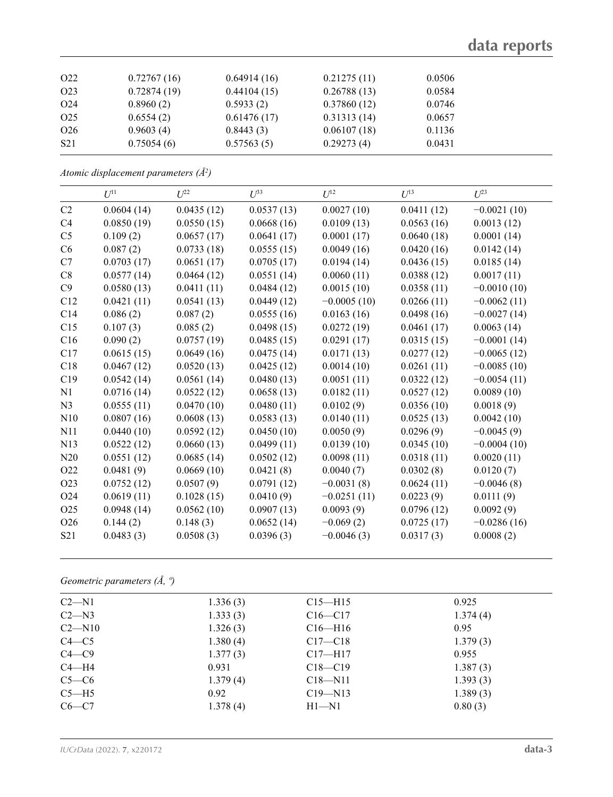## **data reports**

| O <sub>22</sub> | 0.72767(16) | 0.64914(16) | 0.21275(11) | 0.0506 |
|-----------------|-------------|-------------|-------------|--------|
| O <sub>23</sub> | 0.72874(19) | 0.44104(15) | 0.26788(13) | 0.0584 |
| O <sub>24</sub> | 0.8960(2)   | 0.5933(2)   | 0.37860(12) | 0.0746 |
| O <sub>25</sub> | 0.6554(2)   | 0.61476(17) | 0.31313(14) | 0.0657 |
| O <sub>26</sub> | 0.9603(4)   | 0.8443(3)   | 0.06107(18) | 0.1136 |
| S <sub>21</sub> | 0.75054(6)  | 0.57563(5)  | 0.29273(4)  | 0.0431 |

*Atomic displacement parameters (Å2 )*

|                 | $U^{11}$   | $U^{22}$   | $U^{33}$   | $U^{12}$      | $U^{13}$   | $U^{23}$      |
|-----------------|------------|------------|------------|---------------|------------|---------------|
| C2              | 0.0604(14) | 0.0435(12) | 0.0537(13) | 0.0027(10)    | 0.0411(12) | $-0.0021(10)$ |
| C <sub>4</sub>  | 0.0850(19) | 0.0550(15) | 0.0668(16) | 0.0109(13)    | 0.0563(16) | 0.0013(12)    |
| C <sub>5</sub>  | 0.109(2)   | 0.0657(17) | 0.0641(17) | 0.0001(17)    | 0.0640(18) | 0.0001(14)    |
| C6              | 0.087(2)   | 0.0733(18) | 0.0555(15) | 0.0049(16)    | 0.0420(16) | 0.0142(14)    |
| C7              | 0.0703(17) | 0.0651(17) | 0.0705(17) | 0.0194(14)    | 0.0436(15) | 0.0185(14)    |
| C8              | 0.0577(14) | 0.0464(12) | 0.0551(14) | 0.0060(11)    | 0.0388(12) | 0.0017(11)    |
| C9              | 0.0580(13) | 0.0411(11) | 0.0484(12) | 0.0015(10)    | 0.0358(11) | $-0.0010(10)$ |
| C12             | 0.0421(11) | 0.0541(13) | 0.0449(12) | $-0.0005(10)$ | 0.0266(11) | $-0.0062(11)$ |
| C14             | 0.086(2)   | 0.087(2)   | 0.0555(16) | 0.0163(16)    | 0.0498(16) | $-0.0027(14)$ |
| C15             | 0.107(3)   | 0.085(2)   | 0.0498(15) | 0.0272(19)    | 0.0461(17) | 0.0063(14)    |
| C16             | 0.090(2)   | 0.0757(19) | 0.0485(15) | 0.0291(17)    | 0.0315(15) | $-0.0001(14)$ |
| C17             | 0.0615(15) | 0.0649(16) | 0.0475(14) | 0.0171(13)    | 0.0277(12) | $-0.0065(12)$ |
| C18             | 0.0467(12) | 0.0520(13) | 0.0425(12) | 0.0014(10)    | 0.0261(11) | $-0.0085(10)$ |
| C19             | 0.0542(14) | 0.0561(14) | 0.0480(13) | 0.0051(11)    | 0.0322(12) | $-0.0054(11)$ |
| N1              | 0.0716(14) | 0.0522(12) | 0.0658(13) | 0.0182(11)    | 0.0527(12) | 0.0089(10)    |
| N <sub>3</sub>  | 0.0555(11) | 0.0470(10) | 0.0480(11) | 0.0102(9)     | 0.0356(10) | 0.0018(9)     |
| N10             | 0.0807(16) | 0.0608(13) | 0.0583(13) | 0.0140(11)    | 0.0525(13) | 0.0042(10)    |
| N11             | 0.0440(10) | 0.0592(12) | 0.0450(10) | 0.0050(9)     | 0.0296(9)  | $-0.0045(9)$  |
| N <sub>13</sub> | 0.0522(12) | 0.0660(13) | 0.0499(11) | 0.0139(10)    | 0.0345(10) | $-0.0004(10)$ |
| N20             | 0.0551(12) | 0.0685(14) | 0.0502(12) | 0.0098(11)    | 0.0318(11) | 0.0020(11)    |
| O22             | 0.0481(9)  | 0.0669(10) | 0.0421(8)  | 0.0040(7)     | 0.0302(8)  | 0.0120(7)     |
| O23             | 0.0752(12) | 0.0507(9)  | 0.0791(12) | $-0.0031(8)$  | 0.0624(11) | $-0.0046(8)$  |
| O24             | 0.0619(11) | 0.1028(15) | 0.0410(9)  | $-0.0251(11)$ | 0.0223(9)  | 0.0111(9)     |
| O <sub>25</sub> | 0.0948(14) | 0.0562(10) | 0.0907(13) | 0.0093(9)     | 0.0796(12) | 0.0092(9)     |
| O26             | 0.144(2)   | 0.148(3)   | 0.0652(14) | $-0.069(2)$   | 0.0725(17) | $-0.0286(16)$ |
| S <sub>21</sub> | 0.0483(3)  | 0.0508(3)  | 0.0396(3)  | $-0.0046(3)$  | 0.0317(3)  | 0.0008(2)     |

*Geometric parameters (Å, º)*

| $C2 - N1$  | 1.336(3) | $C15 - H15$ | 0.925    |
|------------|----------|-------------|----------|
| $C2 - N3$  | 1.333(3) | $C16 - C17$ | 1.374(4) |
| $C2 - N10$ | 1.326(3) | $C16 - H16$ | 0.95     |
| $C4 - C5$  | 1.380(4) | $C17 - C18$ | 1.379(3) |
| $C4 - C9$  | 1.377(3) | $C17 - H17$ | 0.955    |
| $C4 - H4$  | 0.931    | $C18 - C19$ | 1.387(3) |
| $C5-C6$    | 1.379(4) | $C18 - N11$ | 1.393(3) |
| $C5 - H5$  | 0.92     | $C19 - N13$ | 1.389(3) |
| $C6-C7$    | 1.378(4) | $H1 - N1$   | 0.80(3)  |
|            |          |             |          |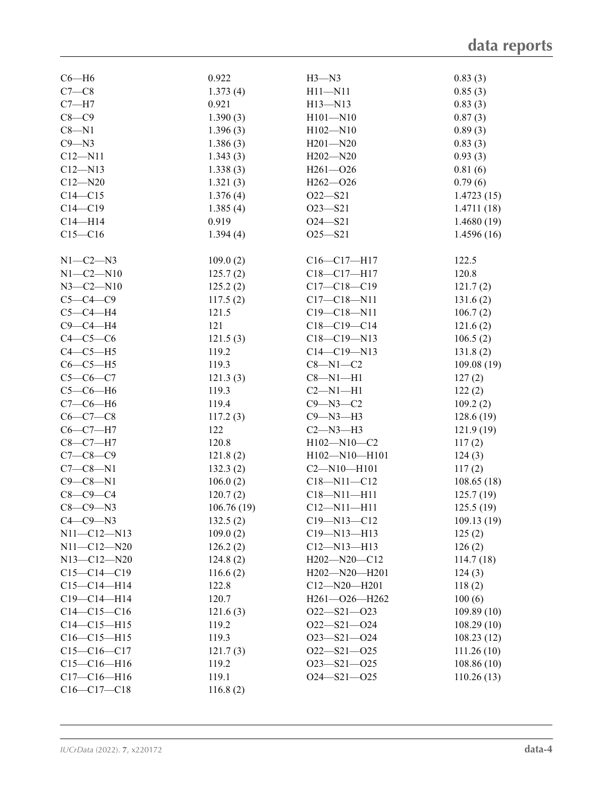| $C6 - H6$         | 0.922      | $H3 - N3$           | 0.83(3)     |
|-------------------|------------|---------------------|-------------|
|                   |            |                     |             |
| $C7-C8$           | 1.373(4)   | $H11 - N11$         | 0.85(3)     |
| $C7 - H7$         | 0.921      | $H13 - N13$         | 0.83(3)     |
| $C8-C9$           | 1.390(3)   | $H101 - N10$        | 0.87(3)     |
| $C8 - N1$         | 1.396(3)   | $H102 - N10$        | 0.89(3)     |
| $C9 - N3$         | 1.386(3)   | $H201 - N20$        | 0.83(3)     |
| $C12 - N11$       | 1.343(3)   | $H202 - N20$        | 0.93(3)     |
| $C12 - N13$       | 1.338(3)   | $H261 - 026$        | 0.81(6)     |
| $C12 - N20$       | 1.321(3)   | $H262 - 026$        | 0.79(6)     |
| $C14 - C15$       | 1.376(4)   | $O22 - S21$         | 1.4723(15)  |
| $C14 - C19$       | 1.385(4)   | $O23 - S21$         | 1.4711 (18) |
| $C14 - H14$       | 0.919      | $O24 - S21$         | 1.4680(19)  |
| $C15-C16$         | 1.394(4)   | $O25 - S21$         | 1.4596(16)  |
|                   |            |                     |             |
| $N1-C2-N3$        | 109.0(2)   | $C16 - C17 - H17$   | 122.5       |
| $N1 - C2 - N10$   | 125.7(2)   | C18-C17-H17         | 120.8       |
| $N3 - C2 - N10$   | 125.2(2)   | $C17 - C18 - C19$   | 121.7(2)    |
| $C5-C4-C9$        | 117.5(2)   | $C17 - C18 - N11$   | 131.6(2)    |
| $C5-C4-H4$        | 121.5      | $C19 - C18 - N11$   | 106.7(2)    |
| $C9 - C4 - H4$    | 121        | $C18-C19-C14$       | 121.6(2)    |
|                   | 121.5(3)   |                     |             |
| $C4-C5-C6$        |            | $C18 - C19 - N13$   | 106.5(2)    |
| $C4-C5-H5$        | 119.2      | $C14 - C19 - N13$   | 131.8(2)    |
| $C6-C5-H5$        | 119.3      | $C8 - N1 - C2$      | 109.08(19)  |
| $C5-C6-C7$        | 121.3(3)   | $C8 - N1 - H1$      | 127(2)      |
| $C5-C6-H6$        | 119.3      | $C2 - N1 - H1$      | 122(2)      |
| $C7-C6-H6$        | 119.4      | $C9 - N3 - C2$      | 109.2(2)    |
| $C6 - C7 - C8$    | 117.2(3)   | $C9 - N3 - H3$      | 128.6(19)   |
| $C6-C7-H7$        | 122        | $C2 - N3 - H3$      | 121.9(19)   |
| $C8-C7-H7$        | 120.8      | H102-N10-C2         | 117(2)      |
| $C7 - C8 - C9$    | 121.8(2)   | $H102 - N10 - H101$ | 124(3)      |
| $C7-C8-N1$        | 132.3(2)   | $C2 - N10 - H101$   | 117(2)      |
| $C9 - C8 - N1$    | 106.0(2)   | $C18 - N11 - C12$   | 108.65(18)  |
| $C8-C9-C4$        | 120.7(2)   | $C18 - N11 - H11$   | 125.7(19)   |
| $C8-C9-N3$        | 106.76(19) | $C12 - N11 - H11$   | 125.5(19)   |
| $C4-C9-N3$        |            |                     | 109.13(19)  |
|                   | 132.5(2)   | C19-N13-C12         |             |
| $N11 - C12 - N13$ | 109.0(2)   | $C19 - N13 - H13$   | 125(2)      |
| $N11 - C12 - N20$ | 126.2(2)   | $C12 - N13 - H13$   | 126(2)      |
| $N13 - C12 - N20$ | 124.8(2)   | $H202 - N20 - C12$  | 114.7(18)   |
| $C15-C14-C19$     | 116.6(2)   | H202-N20-H201       | 124(3)      |
| $C15-C14-H14$     | 122.8      | $C12 - N20 - H201$  | 118(2)      |
| $C19 - C14 - H14$ | 120.7      | $H261 - O26 - H262$ | 100(6)      |
| $C14 - C15 - C16$ | 121.6(3)   | $O22 - S21 - O23$   | 109.89(10)  |
| $C14 - C15 - H15$ | 119.2      | $O22 - S21 - O24$   | 108.29(10)  |
| $C16-C15-H15$     | 119.3      | $O23 - S21 - O24$   | 108.23(12)  |
| $C15-C16-C17$     | 121.7(3)   | $O22 - S21 - O25$   | 111.26(10)  |
| $C15-C16-H16$     | 119.2      | $O23 - S21 - O25$   | 108.86 (10) |
| $C17-C16-H16$     | 119.1      | $O24 - S21 - O25$   | 110.26(13)  |
| $C16-C17-C18$     | 116.8(2)   |                     |             |
|                   |            |                     |             |